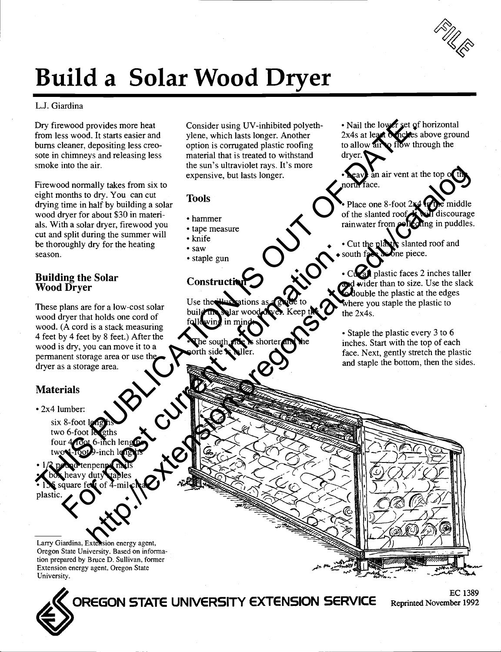# Build a Solar Wood Dryer

#### L.J. Giardina

Dry firewood provides more heat from less wood. It starts easier and bums cleaner, depositing less creosote in chimneys and releasing less smoke into the air.

Firewood normally takes from six to eight months to dry. You can cut drying time in half by building a solar wood dryer for about \$30 in materials. With a solar dryer, firewood you cut and split during the summer will be thoroughly dry for the heating season. Dry free objects more beat to the state of the state of the state of the state of the state of the state of the state of the state of the state of the state of the state of the state of the state of the state of the state

## Building the Solar Wood Dryer

These plans are for a low-cost solar buil wood dryer that holds one cord of wood. (A cord is a stack measuring 4 feet by 4 feet by 8 feet.) After the wood is dry, you can move it to a permanent storage area or use the dryer as a storage area. For most contract in the contract in the contract in the contract in the contract in the contract in the contract in the contract in the contract in the contract in the contract in the contract in the contract in the contr

#### **Materials**

- 2x4 lumber:
	- $six$  8-foot le two  $6$ -foot le four  $4\sqrt{\cot 6}$ -inc two 4-foot 9-inch lengths

 $1/2$  pound tenpenny mails  $\lambda$  heavy dut  $\boldsymbol{\epsilon}$  square feet plastic.

Larry Giardina, Extension energy agent. Oregon State University. Based on information prepared by Bruce D. Sullivan, former Extension energy agent, Oregon State University.

Consider using UV-inhibited polyethylene, which lasts longer. Another option is corrugated plastic roofing to allow air material that is treated to withstand the sun's ultraviolet rays. It's more expensive, but lasts longer.

#### Tools

- hammer
- tape measure
- knife
- $\cdot$ saw
- staple gun

### Constructi

Use the build the solar wood dryer. Keep the  $U$  the win

• Nail the lower set of horizontal 2x4s at least denches above ground o flow through the dryer.

n air vent at the top of north face.

Place one 8-foot  $2x$ of the slanted roof. It will discourage rainwater from collecting in puddles.

• Cut the playing slanted roof and<br>• south face as one piece. ne piece.

Cut all plastic faces 2 inches taller and wider than to size. Use the slack **odouble the plastic at the edges** where you staple the plastic to the 2x4s.

• Staple the plastic every 3 to 6 inches. Start with the top of each face. Next, gently stretch the plastic and staple the bottom, then the sides.



OREGON STATE UNIVERSITY EXTENSION SERVICE Reprinted November 1992

**EC 1389**